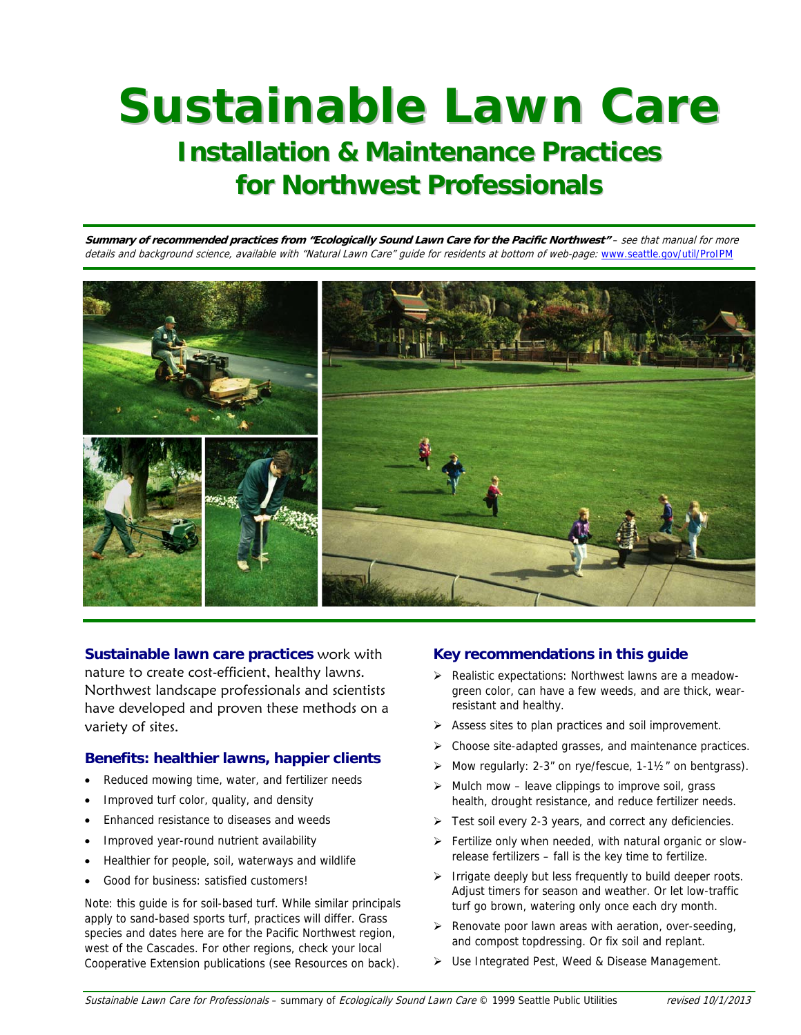# **Sustainable Lawn Care**

# **Installation & Maintenance Practices for Northwest Professionals**

**Summary of recommended practices from "Ecologically Sound Lawn Care for the Pacific Northwest"** – see that manual for more details and background science, available with "Natural Lawn Care" quide for residents at bottom of web-page: www.seattle.gov/util/ProIPM



**Sustainable lawn care practices** work with nature to create cost-efficient, healthy lawns. Northwest landscape professionals and scientists have developed and proven these methods on a variety of sites.

# **Benefits: healthier lawns, happier clients**

- Reduced mowing time, water, and fertilizer needs
- Improved turf color, quality, and density
- Enhanced resistance to diseases and weeds
- Improved year-round nutrient availability
- Healthier for people, soil, waterways and wildlife
- Good for business: satisfied customers!

Note: this guide is for soil-based turf. While similar principals apply to sand-based sports turf, practices will differ. Grass species and dates here are for the Pacific Northwest region, west of the Cascades. For other regions, check your local Cooperative Extension publications (see Resources on back).

# **Key recommendations in this guide**

- Realistic expectations: Northwest lawns are a meadowgreen color, can have a few weeds, and are thick, wearresistant and healthy.
- $\triangleright$  Assess sites to plan practices and soil improvement.
- Choose site-adapted grasses, and maintenance practices.
- Mow regularly: 2-3" on rye/fescue,  $1-1\frac{1}{2}$ " on bentgrass).
- $\triangleright$  Mulch mow leave clippings to improve soil, grass health, drought resistance, and reduce fertilizer needs.
- $\triangleright$  Test soil every 2-3 years, and correct any deficiencies.
- Fertilize only when needed, with natural organic or slowrelease fertilizers – fall is the key time to fertilize.
- $\triangleright$  Irrigate deeply but less frequently to build deeper roots. Adjust timers for season and weather. Or let low-traffic turf go brown, watering only once each dry month.
- $\triangleright$  Renovate poor lawn areas with aeration, over-seeding, and compost topdressing. Or fix soil and replant.
- Use Integrated Pest, Weed & Disease Management.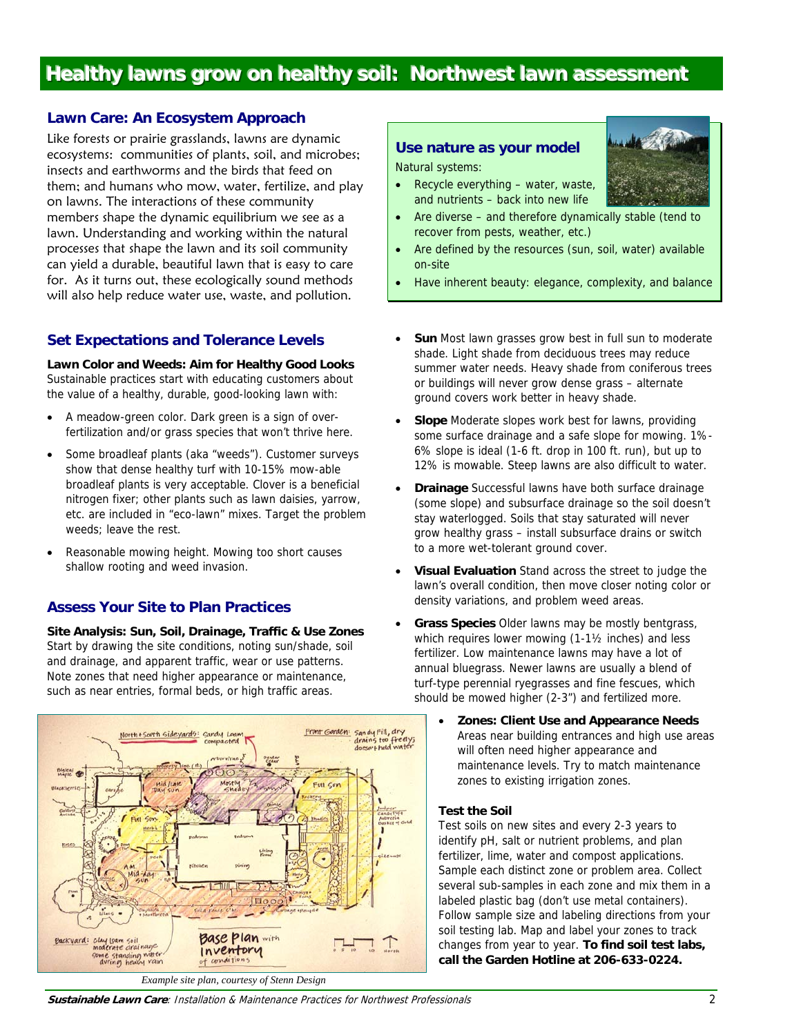# **Healthy lawns grow on healthy soil: Northwest lawn assessment**

# **Lawn Care: An Ecosystem Approach**

Like forests or prairie grasslands, lawns are dynamic ecosystems: communities of plants, soil, and microbes; insects and earthworms and the birds that feed on them; and humans who mow, water, fertilize, and play on lawns. The interactions of these community members shape the dynamic equilibrium we see as a lawn. Understanding and working within the natural processes that shape the lawn and its soil community can yield a durable, beautiful lawn that is easy to care for. As it turns out, these ecologically sound methods will also help reduce water use, waste, and pollution.

#### **Set Expectations and Tolerance Levels**

**Lawn Color and Weeds: Aim for Healthy Good Looks**  Sustainable practices start with educating customers about the value of a healthy, durable, good-looking lawn with:

- A meadow-green color. Dark green is a sign of overfertilization and/or grass species that won't thrive here.
- Some broadleaf plants (aka "weeds"). Customer surveys show that dense healthy turf with 10-15% mow-able broadleaf plants is very acceptable. Clover is a beneficial nitrogen fixer; other plants such as lawn daisies, yarrow, etc. are included in "eco-lawn" mixes. Target the problem weeds: leave the rest.
- Reasonable mowing height. Mowing too short causes shallow rooting and weed invasion.

#### **Assess Your Site to Plan Practices**

**Site Analysis: Sun, Soil, Drainage, Traffic & Use Zones**  Start by drawing the site conditions, noting sun/shade, soil and drainage, and apparent traffic, wear or use patterns. Note zones that need higher appearance or maintenance, such as near entries, formal beds, or high traffic areas.



#### **Use nature as your model**

Natural systems:

- Recycle everything water, waste, and nutrients – back into new life
- Are diverse and therefore dynamically stable (tend to recover from pests, weather, etc.)
- Are defined by the resources (sun, soil, water) available on-site
- Have inherent beauty: elegance, complexity, and balance
- **Sun** Most lawn grasses grow best in full sun to moderate shade. Light shade from deciduous trees may reduce summer water needs. Heavy shade from coniferous trees or buildings will never grow dense grass – alternate ground covers work better in heavy shade.
- **Slope** Moderate slopes work best for lawns, providing some surface drainage and a safe slope for mowing. 1%- 6% slope is ideal (1-6 ft. drop in 100 ft. run), but up to 12% is mowable. Steep lawns are also difficult to water.
- **Drainage** Successful lawns have both surface drainage (some slope) and subsurface drainage so the soil doesn't stay waterlogged. Soils that stay saturated will never grow healthy grass – install subsurface drains or switch to a more wet-tolerant ground cover.
- **Visual Evaluation** Stand across the street to judge the lawn's overall condition, then move closer noting color or density variations, and problem weed areas.
- **Grass Species** Older lawns may be mostly bentgrass, which requires lower mowing (1-1½ inches) and less fertilizer. Low maintenance lawns may have a lot of annual bluegrass. Newer lawns are usually a blend of turf-type perennial ryegrasses and fine fescues, which should be mowed higher (2-3") and fertilized more.
	- **Zones: Client Use and Appearance Needs** Areas near building entrances and high use areas will often need higher appearance and maintenance levels. Try to match maintenance zones to existing irrigation zones.

#### **Test the Soil**

Test soils on new sites and every 2-3 years to identify pH, salt or nutrient problems, and plan fertilizer, lime, water and compost applications. Sample each distinct zone or problem area. Collect several sub-samples in each zone and mix them in a labeled plastic bag (don't use metal containers). Follow sample size and labeling directions from your soil testing lab. Map and label your zones to track changes from year to year. **To find soil test labs, call the Garden Hotline at 206-633-0224.**



**Sustainable Lawn Care**: Installation & Maintenance Practices for Northwest Professionals 2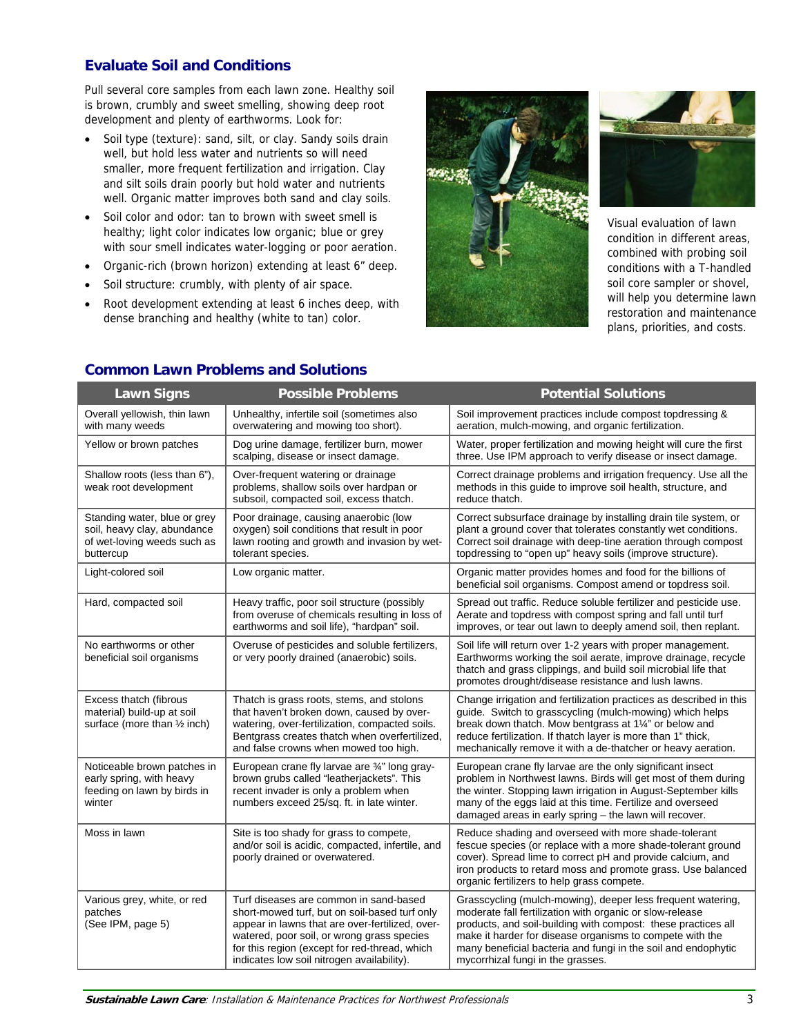# **Evaluate Soil and Conditions**

Pull several core samples from each lawn zone. Healthy soil is brown, crumbly and sweet smelling, showing deep root development and plenty of earthworms. Look for:

- Soil type (texture): sand, silt, or clay. Sandy soils drain well, but hold less water and nutrients so will need smaller, more frequent fertilization and irrigation. Clay and silt soils drain poorly but hold water and nutrients well. Organic matter improves both sand and clay soils.
- Soil color and odor: tan to brown with sweet smell is healthy; light color indicates low organic; blue or grey with sour smell indicates water-logging or poor aeration.
- Organic-rich (brown horizon) extending at least 6" deep.
- Soil structure: crumbly, with plenty of air space.
- Root development extending at least 6 inches deep, with dense branching and healthy (white to tan) color.





Visual evaluation of lawn condition in different areas, combined with probing soil conditions with a T-handled soil core sampler or shovel, will help you determine lawn restoration and maintenance plans, priorities, and costs.

| <b>Lawn Signs</b>                                                                                       | <b>Possible Problems</b>                                                                                                                                                                                                                                                                | <b>Potential Solutions</b>                                                                                                                                                                                                                                                                                                                                 |  |
|---------------------------------------------------------------------------------------------------------|-----------------------------------------------------------------------------------------------------------------------------------------------------------------------------------------------------------------------------------------------------------------------------------------|------------------------------------------------------------------------------------------------------------------------------------------------------------------------------------------------------------------------------------------------------------------------------------------------------------------------------------------------------------|--|
| Overall yellowish, thin lawn<br>with many weeds                                                         | Unhealthy, infertile soil (sometimes also<br>overwatering and mowing too short).                                                                                                                                                                                                        | Soil improvement practices include compost topdressing &<br>aeration, mulch-mowing, and organic fertilization.                                                                                                                                                                                                                                             |  |
| Yellow or brown patches                                                                                 | Dog urine damage, fertilizer burn, mower<br>scalping, disease or insect damage.                                                                                                                                                                                                         | Water, proper fertilization and mowing height will cure the first<br>three. Use IPM approach to verify disease or insect damage.                                                                                                                                                                                                                           |  |
| Shallow roots (less than 6"),<br>weak root development                                                  | Over-frequent watering or drainage<br>problems, shallow soils over hardpan or<br>subsoil, compacted soil, excess thatch.                                                                                                                                                                | Correct drainage problems and irrigation frequency. Use all the<br>methods in this guide to improve soil health, structure, and<br>reduce thatch.                                                                                                                                                                                                          |  |
| Standing water, blue or grey<br>soil, heavy clay, abundance<br>of wet-loving weeds such as<br>buttercup | Poor drainage, causing anaerobic (low<br>oxygen) soil conditions that result in poor<br>lawn rooting and growth and invasion by wet-<br>tolerant species.                                                                                                                               | Correct subsurface drainage by installing drain tile system, or<br>plant a ground cover that tolerates constantly wet conditions.<br>Correct soil drainage with deep-tine aeration through compost<br>topdressing to "open up" heavy soils (improve structure).                                                                                            |  |
| Light-colored soil                                                                                      | Low organic matter.                                                                                                                                                                                                                                                                     | Organic matter provides homes and food for the billions of<br>beneficial soil organisms. Compost amend or topdress soil.                                                                                                                                                                                                                                   |  |
| Hard, compacted soil                                                                                    | Heavy traffic, poor soil structure (possibly<br>from overuse of chemicals resulting in loss of<br>earthworms and soil life), "hardpan" soil.                                                                                                                                            | Spread out traffic. Reduce soluble fertilizer and pesticide use.<br>Aerate and topdress with compost spring and fall until turf<br>improves, or tear out lawn to deeply amend soil, then replant.                                                                                                                                                          |  |
| No earthworms or other<br>beneficial soil organisms                                                     | Overuse of pesticides and soluble fertilizers,<br>or very poorly drained (anaerobic) soils.                                                                                                                                                                                             | Soil life will return over 1-2 years with proper management.<br>Earthworms working the soil aerate, improve drainage, recycle<br>thatch and grass clippings, and build soil microbial life that<br>promotes drought/disease resistance and lush lawns.                                                                                                     |  |
| Excess thatch (fibrous<br>material) build-up at soil<br>surface (more than 1/2 inch)                    | Thatch is grass roots, stems, and stolons<br>that haven't broken down, caused by over-<br>watering, over-fertilization, compacted soils.<br>Bentgrass creates thatch when overfertilized,<br>and false crowns when mowed too high.                                                      | Change irrigation and fertilization practices as described in this<br>guide. Switch to grasscycling (mulch-mowing) which helps<br>break down thatch. Mow bentgrass at 1¼" or below and<br>reduce fertilization. If thatch layer is more than 1" thick,<br>mechanically remove it with a de-thatcher or heavy aeration.                                     |  |
| Noticeable brown patches in<br>early spring, with heavy<br>feeding on lawn by birds in<br>winter        | European crane fly larvae are 3/4" long gray-<br>brown grubs called "leatherjackets". This<br>recent invader is only a problem when<br>numbers exceed 25/sq. ft. in late winter.                                                                                                        | European crane fly larvae are the only significant insect<br>problem in Northwest lawns. Birds will get most of them during<br>the winter. Stopping lawn irrigation in August-September kills<br>many of the eggs laid at this time. Fertilize and overseed<br>damaged areas in early spring - the lawn will recover.                                      |  |
| Moss in lawn                                                                                            | Site is too shady for grass to compete,<br>and/or soil is acidic, compacted, infertile, and<br>poorly drained or overwatered.                                                                                                                                                           | Reduce shading and overseed with more shade-tolerant<br>fescue species (or replace with a more shade-tolerant ground<br>cover). Spread lime to correct pH and provide calcium, and<br>iron products to retard moss and promote grass. Use balanced<br>organic fertilizers to help grass compete.                                                           |  |
| Various grey, white, or red<br>patches<br>(See IPM, page 5)                                             | Turf diseases are common in sand-based<br>short-mowed turf, but on soil-based turf only<br>appear in lawns that are over-fertilized, over-<br>watered, poor soil, or wrong grass species<br>for this region (except for red-thread, which<br>indicates low soil nitrogen availability). | Grasscycling (mulch-mowing), deeper less frequent watering,<br>moderate fall fertilization with organic or slow-release<br>products, and soil-building with compost: these practices all<br>make it harder for disease organisms to compete with the<br>many beneficial bacteria and fungi in the soil and endophytic<br>mycorrhizal fungi in the grasses. |  |

# **Common Lawn Problems and Solutions**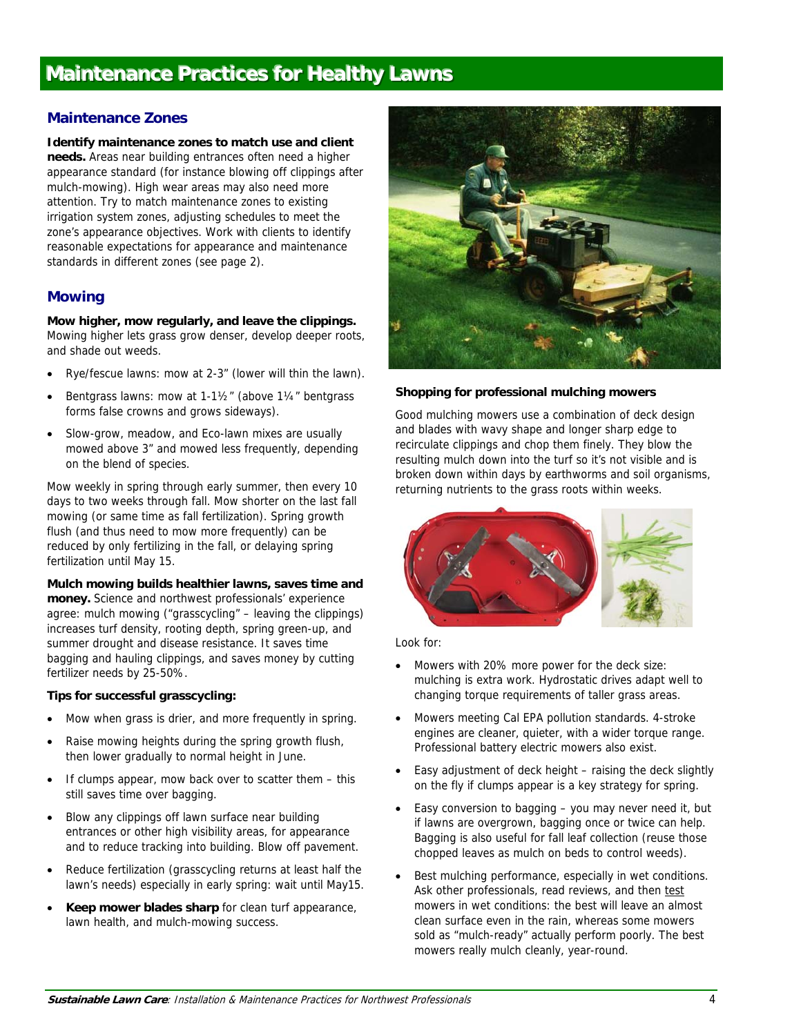# **Maintenance Practices for Healthy Lawns**

## **Maintenance Zones**

**Identify maintenance zones to match use and client needs.** Areas near building entrances often need a higher appearance standard (for instance blowing off clippings after mulch-mowing). High wear areas may also need more attention. Try to match maintenance zones to existing irrigation system zones, adjusting schedules to meet the zone's appearance objectives. Work with clients to identify reasonable expectations for appearance and maintenance standards in different zones (see page 2).

## **Mowing**

**Mow higher, mow regularly, and leave the clippings.** Mowing higher lets grass grow denser, develop deeper roots, and shade out weeds.

- Rye/fescue lawns: mow at 2-3" (lower will thin the lawn).
- Bentgrass lawns: mow at 1-1½" (above 1¼" bentgrass forms false crowns and grows sideways).
- Slow-grow, meadow, and Eco-lawn mixes are usually mowed above 3" and mowed less frequently, depending on the blend of species.

Mow weekly in spring through early summer, then every 10 days to two weeks through fall. Mow shorter on the last fall mowing (or same time as fall fertilization). Spring growth flush (and thus need to mow more frequently) can be reduced by only fertilizing in the fall, or delaying spring fertilization until May 15.

**Mulch mowing builds healthier lawns, saves time and money.** Science and northwest professionals' experience agree: mulch mowing ("grasscycling" – leaving the clippings) increases turf density, rooting depth, spring green-up, and summer drought and disease resistance. It saves time bagging and hauling clippings, and saves money by cutting fertilizer needs by 25-50%.

#### **Tips for successful grasscycling:**

- Mow when grass is drier, and more frequently in spring.
- Raise mowing heights during the spring growth flush, then lower gradually to normal height in June.
- If clumps appear, mow back over to scatter them this still saves time over bagging.
- Blow any clippings off lawn surface near building entrances or other high visibility areas, for appearance and to reduce tracking into building. Blow off pavement.
- Reduce fertilization (grasscycling returns at least half the lawn's needs) especially in early spring: wait until May15.
- **Keep mower blades sharp** for clean turf appearance, lawn health, and mulch-mowing success.



#### **Shopping for professional mulching mowers**

Good mulching mowers use a combination of deck design and blades with wavy shape and longer sharp edge to recirculate clippings and chop them finely. They blow the resulting mulch down into the turf so it's not visible and is broken down within days by earthworms and soil organisms, returning nutrients to the grass roots within weeks.



Look for:

- Mowers with 20% more power for the deck size: mulching is extra work. Hydrostatic drives adapt well to changing torque requirements of taller grass areas.
- Mowers meeting Cal EPA pollution standards. 4-stroke engines are cleaner, quieter, with a wider torque range. Professional battery electric mowers also exist.
- Easy adjustment of deck height raising the deck slightly on the fly if clumps appear is a key strategy for spring.
- Easy conversion to bagging you may never need it, but if lawns are overgrown, bagging once or twice can help. Bagging is also useful for fall leaf collection (reuse those chopped leaves as mulch on beds to control weeds).
- Best mulching performance, especially in wet conditions. Ask other professionals, read reviews, and then test mowers in wet conditions: the best will leave an almost clean surface even in the rain, whereas some mowers sold as "mulch-ready" actually perform poorly. The best mowers really mulch cleanly, year-round.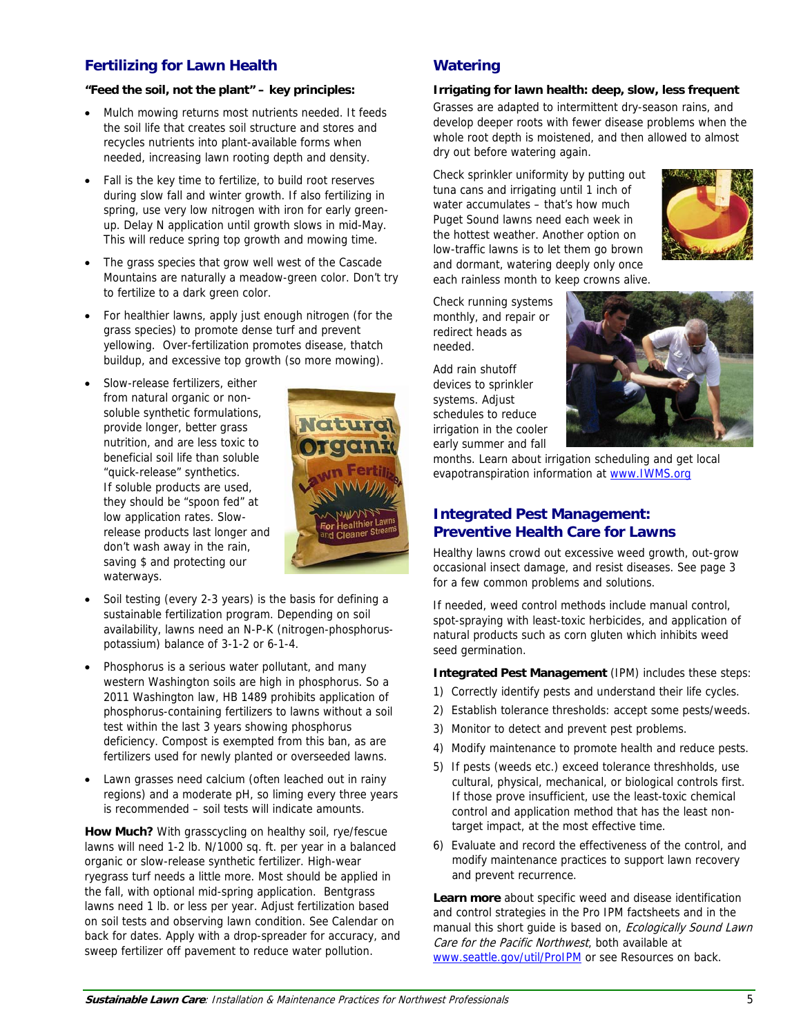# **Fertilizing for Lawn Health**

#### **"Feed the soil, not the plant" – key principles:**

- Mulch mowing returns most nutrients needed. It feeds the soil life that creates soil structure and stores and recycles nutrients into plant-available forms when needed, increasing lawn rooting depth and density.
- Fall is the key time to fertilize, to build root reserves during slow fall and winter growth. If also fertilizing in spring, use very low nitrogen with iron for early greenup. Delay N application until growth slows in mid-May. This will reduce spring top growth and mowing time.
- The grass species that grow well west of the Cascade Mountains are naturally a meadow-green color. Don't try to fertilize to a dark green color.
- For healthier lawns, apply just enough nitrogen (for the grass species) to promote dense turf and prevent yellowing. Over-fertilization promotes disease, thatch buildup, and excessive top growth (so more mowing).
- Slow-release fertilizers, either from natural organic or nonsoluble synthetic formulations, provide longer, better grass nutrition, and are less toxic to beneficial soil life than soluble "quick-release" synthetics. If soluble products are used, they should be "spoon fed" at low application rates. Slowrelease products last longer and don't wash away in the rain, saving \$ and protecting our waterways.



- Soil testing (every 2-3 years) is the basis for defining a sustainable fertilization program. Depending on soil availability, lawns need an N-P-K (nitrogen-phosphoruspotassium) balance of 3-1-2 or 6-1-4.
- Phosphorus is a serious water pollutant, and many western Washington soils are high in phosphorus. So a 2011 Washington law, HB 1489 prohibits application of phosphorus-containing fertilizers to lawns without a soil test within the last 3 years showing phosphorus deficiency. Compost is exempted from this ban, as are fertilizers used for newly planted or overseeded lawns.
- Lawn grasses need calcium (often leached out in rainy regions) and a moderate pH, so liming every three years is recommended – soil tests will indicate amounts.

**How Much?** With grasscycling on healthy soil, rye/fescue lawns will need 1-2 lb. N/1000 sq. ft. per year in a balanced organic or slow-release synthetic fertilizer. High-wear ryegrass turf needs a little more. Most should be applied in the fall, with optional mid-spring application. Bentgrass lawns need 1 lb. or less per year. Adjust fertilization based on soil tests and observing lawn condition. See Calendar on back for dates. Apply with a drop-spreader for accuracy, and sweep fertilizer off pavement to reduce water pollution.

# **Watering**

#### **Irrigating for lawn health: deep, slow, less frequent**

Grasses are adapted to intermittent dry-season rains, and develop deeper roots with fewer disease problems when the whole root depth is moistened, and then allowed to almost dry out before watering again.

Check sprinkler uniformity by putting out tuna cans and irrigating until 1 inch of water accumulates – that's how much Puget Sound lawns need each week in the hottest weather. Another option on low-traffic lawns is to let them go brown and dormant, watering deeply only once each rainless month to keep crowns alive.



Check running systems monthly, and repair or redirect heads as needed.

Add rain shutoff devices to sprinkler systems. Adjust schedules to reduce irrigation in the cooler early summer and fall



months. Learn about irrigation scheduling and get local evapotranspiration information at www.IWMS.org

# **Integrated Pest Management: Preventive Health Care for Lawns**

Healthy lawns crowd out excessive weed growth, out-grow occasional insect damage, and resist diseases. See page 3 for a few common problems and solutions.

If needed, weed control methods include manual control, spot-spraying with least-toxic herbicides, and application of natural products such as corn gluten which inhibits weed seed germination.

**Integrated Pest Management** (IPM) includes these steps:

- 1) Correctly identify pests and understand their life cycles.
- 2) Establish tolerance thresholds: accept some pests/weeds.
- 3) Monitor to detect and prevent pest problems.
- 4) Modify maintenance to promote health and reduce pests.
- 5) If pests (weeds etc.) exceed tolerance threshholds, use cultural, physical, mechanical, or biological controls first. If those prove insufficient, use the least-toxic chemical control and application method that has the least nontarget impact, at the most effective time.
- 6) Evaluate and record the effectiveness of the control, and modify maintenance practices to support lawn recovery and prevent recurrence.

**Learn more** about specific weed and disease identification and control strategies in the Pro IPM factsheets and in the manual this short quide is based on, Ecologically Sound Lawn Care for the Pacific Northwest, both available at www.seattle.gov/util/ProIPM or see Resources on back.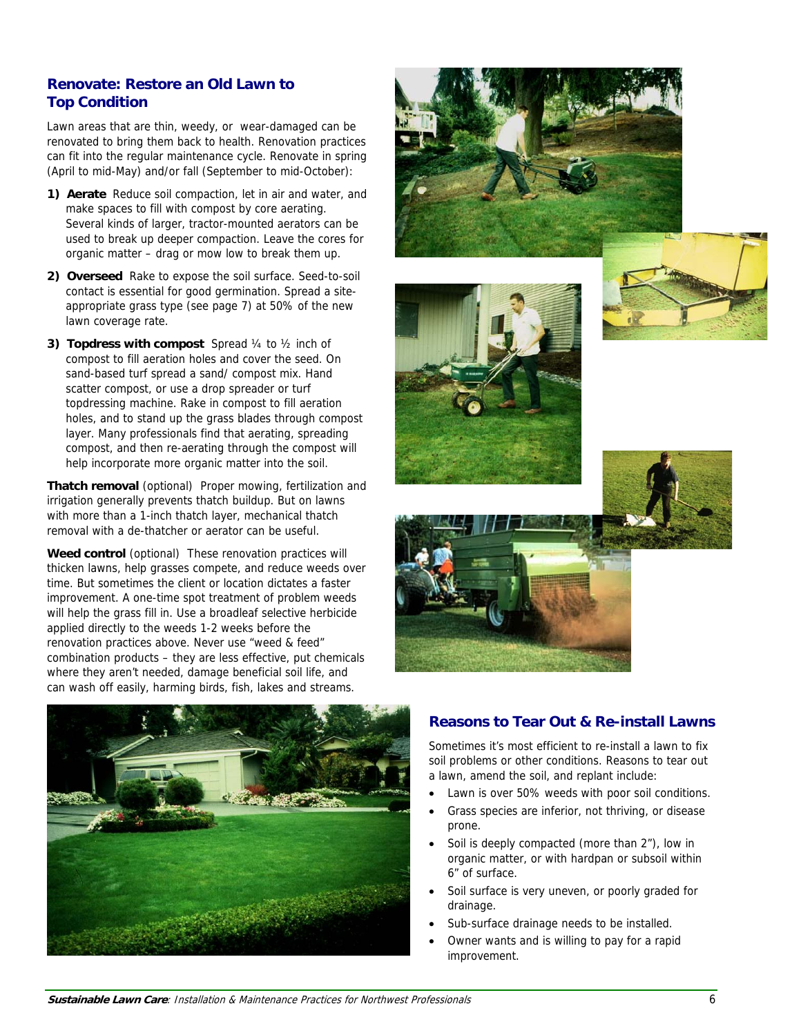# **Renovate: Restore an Old Lawn to Top Condition**

Lawn areas that are thin, weedy, or wear-damaged can be renovated to bring them back to health. Renovation practices can fit into the regular maintenance cycle. Renovate in spring (April to mid-May) and/or fall (September to mid-October):

- **1) Aerate** Reduce soil compaction, let in air and water, and make spaces to fill with compost by core aerating. Several kinds of larger, tractor-mounted aerators can be used to break up deeper compaction. Leave the cores for organic matter – drag or mow low to break them up.
- **2) Overseed** Rake to expose the soil surface. Seed-to-soil contact is essential for good germination. Spread a siteappropriate grass type (see page 7) at 50% of the new lawn coverage rate.
- **3) Topdress with compost** Spread ¼ to ½ inch of compost to fill aeration holes and cover the seed. On sand-based turf spread a sand/ compost mix. Hand scatter compost, or use a drop spreader or turf topdressing machine. Rake in compost to fill aeration holes, and to stand up the grass blades through compost layer. Many professionals find that aerating, spreading compost, and then re-aerating through the compost will help incorporate more organic matter into the soil.

**Thatch removal** (optional) Proper mowing, fertilization and irrigation generally prevents thatch buildup. But on lawns with more than a 1-inch thatch layer, mechanical thatch removal with a de-thatcher or aerator can be useful.

**Weed control** (optional) These renovation practices will thicken lawns, help grasses compete, and reduce weeds over time. But sometimes the client or location dictates a faster improvement. A one-time spot treatment of problem weeds will help the grass fill in. Use a broadleaf selective herbicide applied directly to the weeds 1-2 weeks before the renovation practices above. Never use "weed & feed" combination products – they are less effective, put chemicals where they aren't needed, damage beneficial soil life, and can wash off easily, harming birds, fish, lakes and streams.











# **Reasons to Tear Out & Re-install Lawns**

Sometimes it's most efficient to re-install a lawn to fix soil problems or other conditions. Reasons to tear out a lawn, amend the soil, and replant include:

- Lawn is over 50% weeds with poor soil conditions.
- Grass species are inferior, not thriving, or disease prone.
- Soil is deeply compacted (more than 2"), low in organic matter, or with hardpan or subsoil within 6" of surface.
- Soil surface is very uneven, or poorly graded for drainage.
- Sub-surface drainage needs to be installed.
- Owner wants and is willing to pay for a rapid improvement.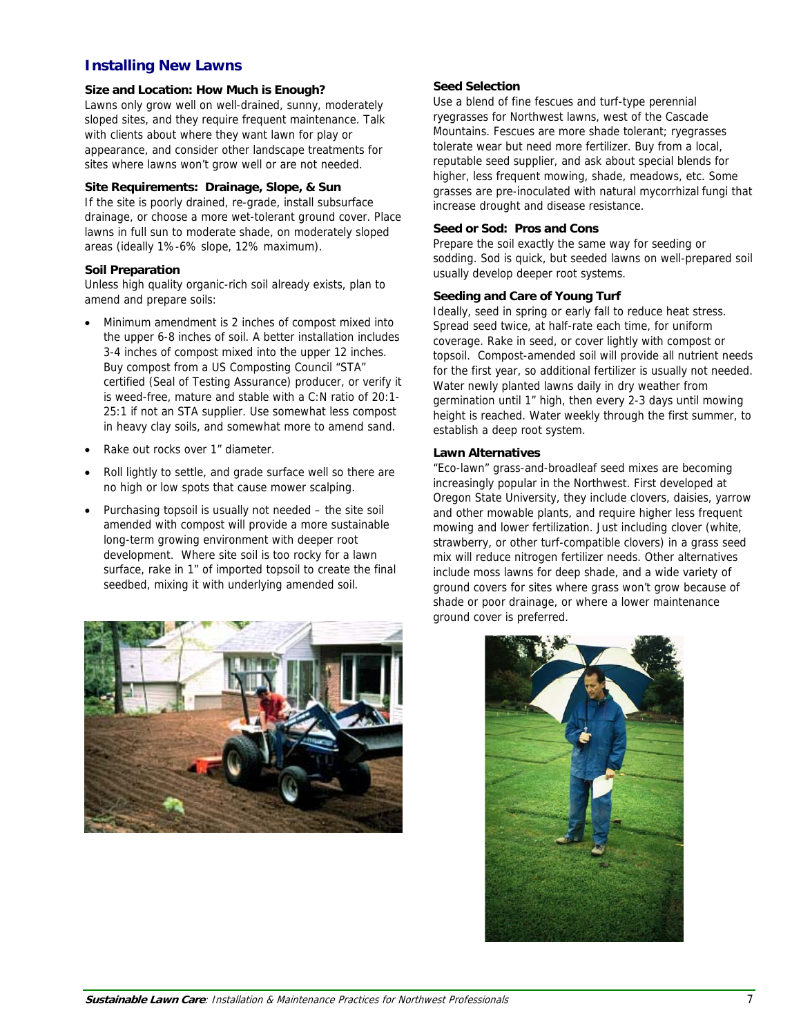#### **Installing New Lawns**

#### **Size and Location: How Much is Enough?**

Lawns only grow well on well-drained, sunny, moderately sloped sites, and they require frequent maintenance. Talk with clients about where they want lawn for play or appearance, and consider other landscape treatments for sites where lawns won't grow well or are not needed.

#### **Site Requirements: Drainage, Slope, & Sun**

If the site is poorly drained, re-grade, install subsurface drainage, or choose a more wet-tolerant ground cover. Place lawns in full sun to moderate shade, on moderately sloped areas (ideally 1%-6% slope, 12% maximum).

#### **Soil Preparation**

Unless high quality organic-rich soil already exists, plan to amend and prepare soils:

- Minimum amendment is 2 inches of compost mixed into the upper 6-8 inches of soil. A better installation includes 3-4 inches of compost mixed into the upper 12 inches. Buy compost from a US Composting Council "STA" certified (Seal of Testing Assurance) producer, or verify it is weed-free, mature and stable with a C:N ratio of 20:1- 25:1 if not an STA supplier. Use somewhat less compost in heavy clay soils, and somewhat more to amend sand.
- Rake out rocks over 1" diameter.
- Roll lightly to settle, and grade surface well so there are no high or low spots that cause mower scalping.
- Purchasing topsoil is usually not needed the site soil amended with compost will provide a more sustainable long-term growing environment with deeper root development. Where site soil is too rocky for a lawn surface, rake in 1" of imported topsoil to create the final seedbed, mixing it with underlying amended soil.



#### **Seed Selection**

Use a blend of fine fescues and turf-type perennial ryegrasses for Northwest lawns, west of the Cascade Mountains. Fescues are more shade tolerant; ryegrasses tolerate wear but need more fertilizer. Buy from a local, reputable seed supplier, and ask about special blends for higher, less frequent mowing, shade, meadows, etc. Some grasses are pre-inoculated with natural mycorrhizal fungi that increase drought and disease resistance.

#### **Seed or Sod: Pros and Cons**

Prepare the soil exactly the same way for seeding or sodding. Sod is quick, but seeded lawns on well-prepared soil usually develop deeper root systems.

#### **Seeding and Care of Young Turf**

Ideally, seed in spring or early fall to reduce heat stress. Spread seed twice, at half-rate each time, for uniform coverage. Rake in seed, or cover lightly with compost or topsoil. Compost-amended soil will provide all nutrient needs for the first year, so additional fertilizer is usually not needed. Water newly planted lawns daily in dry weather from germination until 1" high, then every 2-3 days until mowing height is reached. Water weekly through the first summer, to establish a deep root system.

#### **Lawn Alternatives**

"Eco-lawn" grass-and-broadleaf seed mixes are becoming increasingly popular in the Northwest. First developed at Oregon State University, they include clovers, daisies, yarrow and other mowable plants, and require higher less frequent mowing and lower fertilization. Just including clover (white, strawberry, or other turf-compatible clovers) in a grass seed mix will reduce nitrogen fertilizer needs. Other alternatives include moss lawns for deep shade, and a wide variety of ground covers for sites where grass won't grow because of shade or poor drainage, or where a lower maintenance ground cover is preferred.